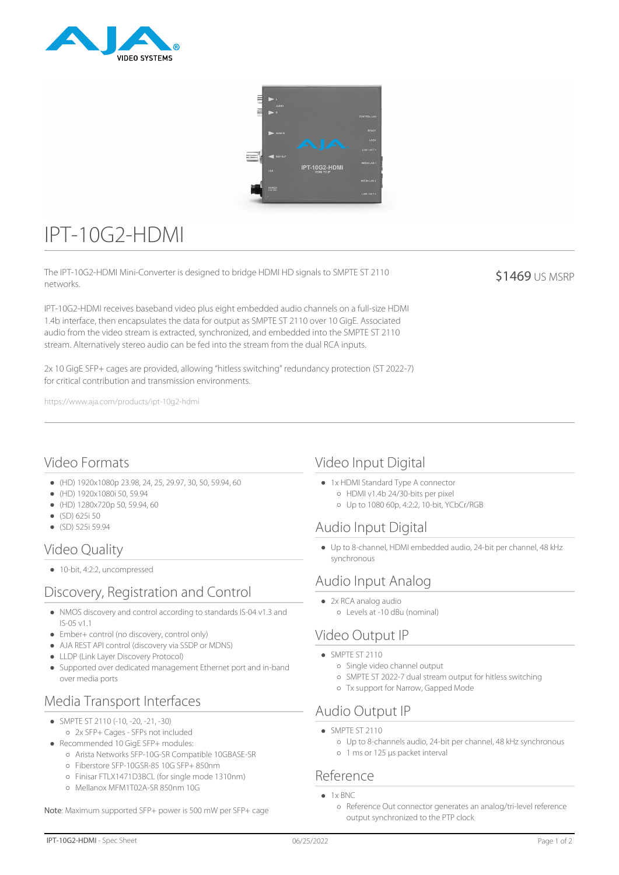



# IPT-10G2-HDMI

The IPT-10G2-HDMI Mini-Converter is designed to bridge HDMI HD signals to SMPTE ST 2110 networks.

IPT-10G2-HDMI receives baseband video plus eight embedded audio channels on a full-size HDMI 1.4b interface, then encapsulates the data for output as SMPTE ST 2110 over 10 GigE. Associated audio from the video stream is extracted, synchronized, and embedded into the SMPTE ST 2110 stream. Alternatively stereo audio can be fed into the stream from the dual RCA inputs.

2x 10 GigE SFP+ cages are provided, allowing "hitless switching" redundancy protection (ST 2022-7) for critical contribution and transmission environments.

https://www.aja.com/products/ipt-10g2-hdmi

#### \$1469 US MSRP

## Video Formats

- (HD) 1920x1080p 23.98, 24, 25, 29.97, 30, 50, 59.94, 60
- (HD) 1920x1080i 50, 59.94
- (HD) 1280x720p 50, 59.94, 60
- (SD) 625i 50
- (SD) 525i 59.94

# Video Quality

● 10-bit, 4:2:2, uncompressed

# Discovery, Registration and Control

- NMOS discovery and control according to standards IS-04 v1.3 and IS-05 v1.1
- Ember+ control (no discovery, control only)
- AJA REST API control (discovery via SSDP or MDNS)
- LLDP (Link Layer Discovery Protocol)
- Supported over dedicated management Ethernet port and in-band over media ports

# Media Transport Interfaces

- SMPTE ST 2110 (-10, -20, -21, -30)
- 2x SFP+ Cages SFPs not included
- Recommended 10 GigE SFP+ modules:
- Arista Networks SFP-10G-SR Compatible 10GBASE-SR
- Fiberstore SFP-10GSR-85 10G SFP+ 850nm
- Finisar FTLX1471D3BCL (for single mode 1310nm)
- Mellanox MFM1T02A-SR 850nm 10G

Note: Maximum supported SFP+ power is 500 mW per SFP+ cage

## Video Input Digital

- 1x HDMI Standard Type A connector
	- HDMI v1.4b 24/30-bits per pixel
	- Up to 1080 60p, 4:2:2, 10-bit, YCbCr/RGB

## Audio Input Digital

Up to 8-channel, HDMI embedded audio, 24-bit per channel, 48 kHz synchronous

#### Audio Input Analog

• 2x RCA analog audio Levels at -10 dBu (nominal)

#### Video Output IP

- $\bullet$  SMPTE ST 2110
	- Single video channel output
	- SMPTE ST 2022-7 dual stream output for hitless switching
	- Tx support for Narrow, Gapped Mode

#### Audio Output IP

- SMPTE ST 2110
	- Up to 8-channels audio, 24-bit per channel, 48 kHz synchronous
	- 1 ms or 125 µs packet interval

#### Reference

- $\bullet$  1x BNC
	- Reference Out connector generates an analog/tri-level reference output synchronized to the PTP clock